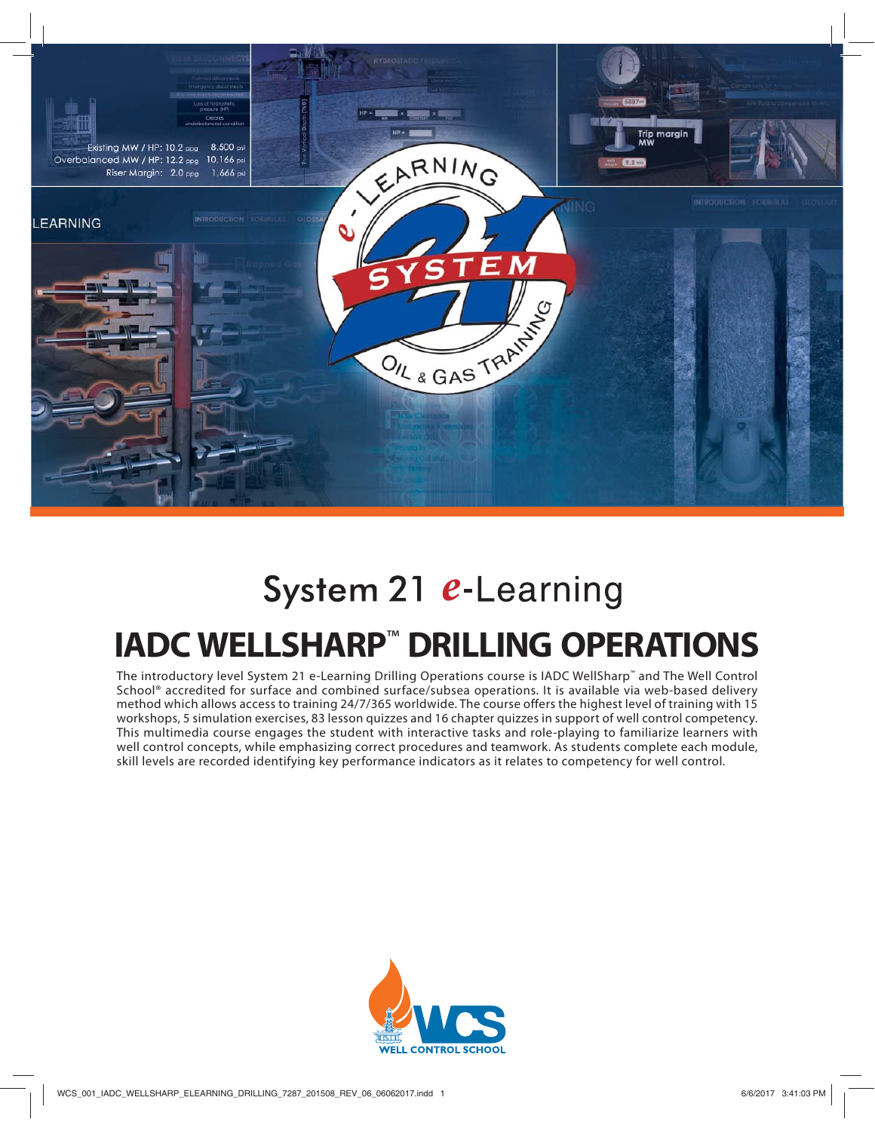

# System 21 e-Learning

# **IADC WELLSHARP**™ **DRILLING OPERATIONS**

The introductory level System 21 e-Learning Drilling Operations course is IADC WellSharp™ and The Well Control School® accredited for surface and combined surface/subsea operations. It is available via web-based delivery method which allows access to training 24/7/365 worldwide. The course offers the highest level of training with 15 workshops, 5 simulation exercises, 83 lesson quizzes and 16 chapter quizzes in support of well control competency. This multimedia course engages the student with interactive tasks and role-playing to familiarize learners with well control concepts, while emphasizing correct procedures and teamwork. As students complete each module, skill levels are recorded identifying key performance indicators as it relates to competency for well control.